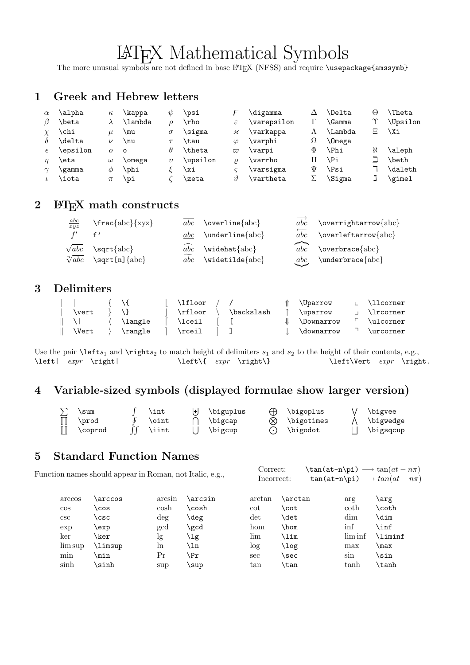# LATEX Mathematical Symbols

The more unusual symbols are not defined in base L<sup>AT</sup>EX (NFSS) and require \usepackage{amssymb}

#### 1 Greek and Hebrew letters

| $\alpha$ | \alpha   | $\kappa$ | \kappa  | W        | \psi     |             | \digamma           | Δ | <b>\Delta</b>        | Θ        | <b>\Theta</b>  |
|----------|----------|----------|---------|----------|----------|-------------|--------------------|---|----------------------|----------|----------------|
|          | \beta    |          | \lambda |          | \rho     | ε           | \varepsilon        |   | \Gamma               |          | \Upsilon       |
|          | \chi     | u        | \mu     | $\sigma$ | $\sigma$ | κ           | \varkappa          | Λ | \Lambda              | Ξ        | \Xi            |
|          | \delta   | ν        | \nu     |          | \tau     | $\varphi$   | \varphi            | Ω | <i><b>\Omega</b></i> |          |                |
|          | \epsilon | $\Omega$ | $\circ$ | θ        | \theta   | $\varpi$    | \varpi             | Φ | <b>\Phi</b>          | $\aleph$ | \aleph         |
|          | \eta     | $\omega$ | \omega  | υ        | \upsilon | 0           | \varrho            |   | \Pi                  |          | <b>\beth</b>   |
|          | \gamma   | Ф        | \phi    |          | \xi      |             | \varsigma          | Ψ | ∖Psi                 |          | <b>\daleth</b> |
|          | \iota    | π        | \pi     |          | \zeta    | $\vartheta$ | $\verb \vartheta $ |   | \Sigma               |          | \gimel         |

#### 2 ET<sub>E</sub>X math constructs

| $rac{abc}{xyz}$                 | $\frac{\text{abc}}{\text{xyz}}$                             |     | $\overline{abc}$ \overline{abc}        | abc                    | \overrightarrow{abc}                              |
|---------------------------------|-------------------------------------------------------------|-----|----------------------------------------|------------------------|---------------------------------------------------|
| f'                              |                                                             | abc | $\underlineline{abc}$                  | abc                    | \overleftarrow{abc}                               |
| $\sqrt{abc}$<br>$\sqrt[n]{abc}$ | $\sqrt{\sqrt{a}}$<br>$\sqrt{\sqrt{np}}$ \sqrt [n] $\{abc\}$ | abc | $abc$ \widehat{abc}<br>\widetilde{abc} | $\widehat{abc}$<br>abc | $\overline{\overline{\mathsf{a}bc}}$<br>$\{abc\}$ |

#### 3 Delimiters

|              | 74.     | \lfloor |            | <i><u><b>N</b>Darrow</u></i> | ∟ ∖llcorner      |
|--------------|---------|---------|------------|------------------------------|------------------|
| \vert        |         | \rfloor | \backslash | \uparrow                     | <b>\lrcorner</b> |
|              | \langle | \lceil  |            | $\Downarrow$ \Downarrow      | \ulcorner        |
| <b>\Vert</b> | \rangle | \rceil  |            | \downarrow                   | \urcorner        |

Use the pair  $\left\{ \left( s, s \right) \right\}$  and  $\left\{ s_1 \right\}$  of delimiters  $s_1$  and  $s_2$  to the height of their contents, e.g., \left| expr \right|  $\leftarrow$  \left\{ expr \right\} \left\Vert expr \right.

# 4 Variable-sized symbols (displayed formulae show larger version)

| \sum    | \int         | ' \biguplus | $\oplus$ \bigoplus   | \bigvee   |
|---------|--------------|-------------|----------------------|-----------|
| \prod   | <b>\oint</b> | \bigcap     | $\otimes$ \bigotimes | \bigwedge |
| \coprod | <b>\iint</b> | \bigcup     | $(\cdot)$ \bigodot   | \bigsqcup |

#### 5 Standard Function Names

Function names should appear in Roman, not Italic, e.g., Correct:  $\tan(\text{at}-n\pi) \rightarrow \tan(at - n\pi)$ <br>Incorrect:  $\tan(\text{at}-n\pi) \rightarrow \tan(at - n\pi)$  $\tan(\text{at-n\pi}) \longrightarrow \tan(\text{at}-n\pi)$ 

| arccos<br>$\cos$<br>csc | arccos)<br>COS<br>\CSC | arcsin<br>cosh<br>deg | \arcsin<br>\cosh<br>\deg | arctan<br>cot<br>$\det$ | \arctan<br>\cot<br>\det | arg<br>coth<br>dim | \arg<br>coth،<br>\dim |
|-------------------------|------------------------|-----------------------|--------------------------|-------------------------|-------------------------|--------------------|-----------------------|
| exp                     | \exp                   | gcd                   | \gcd                     | hom                     | \hom                    | inf                | \inf                  |
| ker                     | <b>\ker</b>            | lg                    | ∖lg                      | lim                     | \lim                    | lim inf            | <b>\liminf</b>        |
| lim sup                 | \limsup                | ln                    | ∖ln                      | log                     | \log                    | max                | \max                  |
| min                     | \min                   | Pr                    | ∖Pr                      | sec                     | \sec                    | sin                | sin                   |
| sinh                    | sinh\                  | sup                   | \sup                     | tan                     | \tan                    | tanh               | \tanh                 |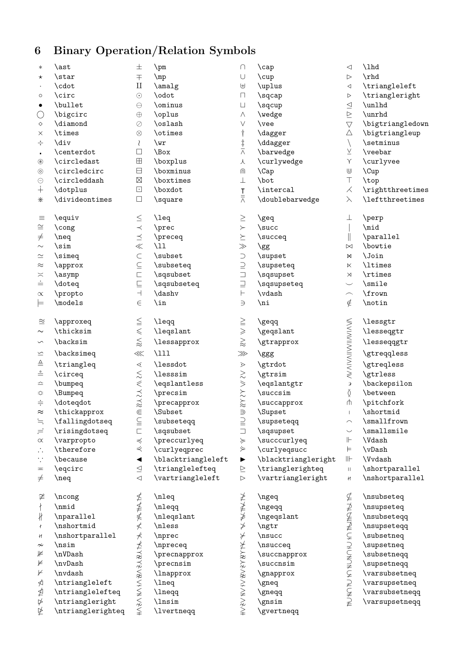# 6 Binary Operation/Relation Symbols

| $\ast$                | \ast              | 士                                                                | $\pm$              | ∩                                     | $\cap$              | ◁                                                                                                          | $\lambda$        |
|-----------------------|-------------------|------------------------------------------------------------------|--------------------|---------------------------------------|---------------------|------------------------------------------------------------------------------------------------------------|------------------|
| $^\star$              | \star             | $\mp$                                                            | $\mp$              | $\cup$                                | \cup                | $\triangleright$                                                                                           | \rhd             |
| $\bullet$             | \cdot             | $\mathbf{I}$                                                     | \amalg             | $\uplus$                              | \uplus              | $\lhd$                                                                                                     | \triangleleft    |
| $\circ$               | \circ             | $\odot$                                                          | \odot              | П                                     | \sqcap              | $\,>\,$                                                                                                    | \triangleright   |
| $\bullet$             | \bullet           | $\ominus$                                                        | \ominus            | $\sqcup$                              | \sqcup              | $\triangleq$                                                                                               | \unlhd           |
| О                     | \bigcirc          | $\oplus$                                                         | \oplus             | Λ                                     | \wedge              | $\unrhd$                                                                                                   | \unrhd           |
| $\Diamond$            | \diamond          | $\oslash$                                                        | \oslash            | $\vee$                                | \vee                | $\triangledown$                                                                                            | \bigtriangledown |
| ×                     | \times            | $\otimes$                                                        | \otimes            | $\dagger$                             | \dagger             | Δ                                                                                                          | \bigtriangleup   |
| ÷                     | \div              | ₹                                                                | $\sqrt{wr}$        |                                       | \ddagger            | $\setminus$                                                                                                | \setminus        |
| $\blacksquare$        | \centerdot        | $\Box$                                                           | \Box               | $\frac{1}{\wedge}$                    | \barwedge           | $\underline{\vee}$                                                                                         | \veebar          |
| $\circledast$         | \circledast       | $\boxplus$                                                       | \boxplus           | 人                                     | \curlywedge         | $\curlyvee$                                                                                                | \curlyvee        |
| $\odot$               | \circledcirc      | $\boxminus$                                                      | \boxminus          | ⋒                                     | $\setminus$ Cap     | $\textcolor{red}{\textsf{U}}$                                                                              | $\Upsilon$       |
| $\ominus$             | \circleddash      | $\boxtimes$                                                      | \boxtimes          | $\perp$                               | \bot                | $\top$                                                                                                     | \top             |
| $\dotplus$            | \dotplus          | $\hfill\ensuremath{\square}$                                     | \boxdot            |                                       | \intercal           | $\measuredangle$                                                                                           | \rightthreetimes |
| ⋇                     | \divideontimes    | $\Box$                                                           | \square            | $rac{1}{\wedge}$                      | \doublebarwedge     | $\lambda$                                                                                                  | \leftthreetimes  |
|                       |                   |                                                                  |                    |                                       |                     |                                                                                                            |                  |
| $\equiv$              | \equiv            | $\leq$                                                           | \leq               | $\geq$                                | \geq                | 丄                                                                                                          | \perp            |
| $\cong$               | \cong             | $\prec$                                                          | \prec              | $\succ$                               | \succ               |                                                                                                            | \mid             |
| $\not=$               | $\neq$            | $\preceq$                                                        | \preceq            | $\succeq$                             | \succeq             | $\parallel$                                                                                                | \parallel        |
| $\sim$                | \sim              | $\ll$                                                            | $\mathcal{L}$      | $>\!\!>\!\!$                          | \gg                 | $\bowtie$                                                                                                  | \bowtie          |
| $\simeq$              | \simeq            | $\subset$                                                        | \subset            | $\supset$                             | \supset             | M                                                                                                          | \Join            |
| $\approx$             | \approx           | $\subseteq$                                                      | \subseteq          | $\supseteq$                           | \supseteq           | $\boldsymbol{\mathsf{K}}$                                                                                  | \ltimes          |
| $\asymp$              | \asymp            | $\Box$                                                           | \sqsubset          | $\Box$                                | \sqsupset           | $\rtimes$                                                                                                  | \rtimes          |
| $\stackrel{.}{=}$     | \doteq            | $\sqsubseteq$                                                    | \sqsubseteq        | $\supseteq$                           | \sqsupseteq         | $\smile$                                                                                                   | \smile           |
| $\propto$             | \propto           | $\overline{\phantom{0}}$                                         | \dashv             | $\vdash$                              | \vdash              | $\widehat{\phantom{1}}$                                                                                    | \frown           |
| ⊨                     | \models           | $\in$                                                            | $\sin$             | $\Rightarrow$                         | \ni                 | $\notin$                                                                                                   | \notin           |
|                       |                   |                                                                  |                    |                                       |                     |                                                                                                            |                  |
| $\approx$             | \approxeq         | $\leqq$                                                          | \leqq              | $\geqq$                               | \geqq               |                                                                                                            | \lessgtr         |
| $\sim$                | \thicksim         | $\leq$                                                           | \leqslant          | $\geqslant$                           | \geqslant           |                                                                                                            | \lesseqgtr       |
| $\backsim$            | \backsim          | $\lesssim$                                                       | <i>lessapprox</i>  | $\gtrapprox$                          | \gtrapprox          | W AIVAIIWIIMWIA W                                                                                          | \lesseqqgtr      |
| $\leq$                | \backsimeq        | $\lll$                                                           | $\Upsilon$         | $\ggg$                                | \ggg                |                                                                                                            | \gtreqqless      |
| ≜                     | \triangleq        | $\lessdot$                                                       | \lessdot           | $\dot{\ge}$                           | \gtrdot             |                                                                                                            | \gtreqless       |
| $\stackrel{\circ}{=}$ | \circeq           |                                                                  | \lesssim           |                                       | \gtrsim             |                                                                                                            | \gtrless         |
| ≏                     | \bumpeq           |                                                                  | \eqslantless       |                                       | \eqslantgtr         | $\mathfrak{Z}$                                                                                             | \backepsilon     |
| $\div$                | \Bumpeq           | $\mathcal{U} \vee \mathcal{V} \vee \mathcal{V} \vee \mathcal{V}$ | \precsim           | NAN SAN                               | \succsim            | Ŏ                                                                                                          | \between         |
| $\div$                | \doteqdot         |                                                                  | \precapprox        |                                       | \succapprox         | $\Uparrow$                                                                                                 | \pitchfork       |
| $\approx$             | \thickapprox      | $\in$                                                            | \Subset            | $\supseteq$                           | \Supset             |                                                                                                            | \shortmid        |
| $\fallingdotseq$      | \fallingdotseq    | $\subseteqq$                                                     | \subseteqq         |                                       | \supseteqq          | $\frown$                                                                                                   | \smallfrown      |
| $=$                   | \risingdotseq     | $\Box$                                                           | \sqsubset          | $\equiv$                              | \sqsupset           | $\smile$                                                                                                   | \smallsmile      |
| $\propto$             | \varpropto        | $\preccurlyeq$                                                   | \preccurlyeq       | $\approx$                             | \succcurlyeq        | $\mathrel{\Vdash}$                                                                                         | \Vdash           |
| $\ddot{\cdot}$        | \therefore        | ⋞                                                                | \curlyeqprec       | $\Join$                               | \curlyeqsucc        | $\models$                                                                                                  | \vDash           |
| $\ddot{\cdot}$        | \because          | $\blacktriangleleft$                                             | \blacktriangleleft | $\blacktriangleright$                 | \blacktriangleright | $\parallel\parallel$                                                                                       | \Vvdash          |
| ᆓ                     | \eqcirc           | $\triangleq$                                                     | \trianglelefteq    | $\geq$                                | \trianglerighteq    | $\mathsf{H}% _{\mathsf{H}}^{\text{op}}(\mathcal{A})\equiv\mathsf{H}_{\mathsf{H}}^{\text{op}}(\mathcal{A})$ | \shortparallel   |
| $\not=$               | \neq              | $\triangleleft$                                                  | \vartriangleleft   | $\triangleright$                      | \vartriangleright   | H                                                                                                          | \nshortparallel  |
|                       |                   |                                                                  |                    |                                       |                     |                                                                                                            |                  |
| $\ncong$              | \ncong            | ≰≨≸≮                                                             | \nleq              | キネネネ                                  | \ngeq               | NA ANAMA CHONDACH DAURD                                                                                    | \nsubseteq       |
| $\ddagger$            | \nmid             |                                                                  | \nleqq             |                                       | \ngeqq              |                                                                                                            | \nsupseteq       |
| $\frac{1}{2}$         | \nparallel        |                                                                  | \nleqslant         |                                       | \ngeqslant          |                                                                                                            | \nsubseteqq      |
| $\pmb{\mathcal{X}}$   | \nshortmid        |                                                                  | \nless             |                                       | \ngtr               |                                                                                                            | \nsupseteqq      |
| ł                     | \nshortparallel   |                                                                  | \nprec             |                                       | \nsucc              |                                                                                                            | \subsetneq       |
| $\nsim$               | \nsim             |                                                                  | \npreceq           |                                       | \nsucceq            |                                                                                                            | \supsetneq       |
| ⊯                     | $\verb \nVDash $  |                                                                  | \precnapprox       |                                       | \succnapprox        |                                                                                                            | \subsetneqq      |
| ⊭                     | \nvDash           |                                                                  | \precnsim          |                                       | \succnsim           |                                                                                                            | \supsetneqq      |
| ⊬                     | \nvdash           | K KKZZZZZZZZZZZZZZZ                                              | \lnapprox          | <b>⊁ そこ R N 2 N X N X N X N X N X</b> | \gnapprox           |                                                                                                            | \varsubsetneq    |
| ⋪                     | \ntriangleleft    |                                                                  | \lneq              |                                       | \gneq               |                                                                                                            | \varsupsetneq    |
|                       | \ntrianglelefteq  |                                                                  | \lneqq             |                                       | \gneqq              |                                                                                                            | \varsubsetneqq   |
| ⊉                     | \ntriangleright   |                                                                  | \lnsim             |                                       | \gnsim              |                                                                                                            | \varsupsetneqq   |
| 毕                     | \ntrianglerighteq |                                                                  | \lvertneqq         |                                       | \gvertneqq          |                                                                                                            |                  |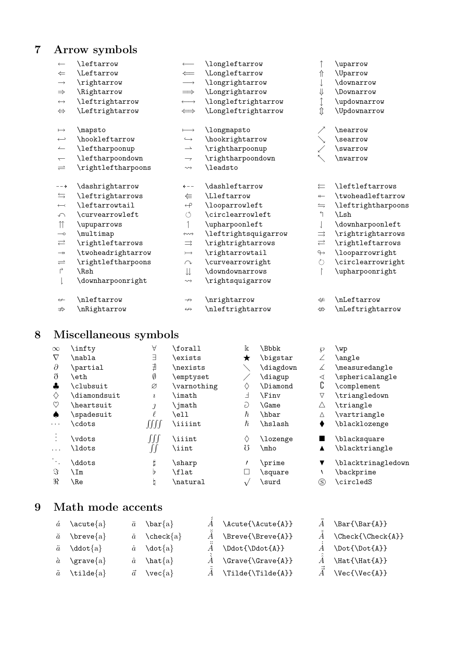### 7 Arrow symbols

| $\longleftarrow$         | \leftarrow               |                          | \longleftarrow       |                      | \uparrow                     |
|--------------------------|--------------------------|--------------------------|----------------------|----------------------|------------------------------|
| $\leftarrow$             | <i><b>\Leftarrow</b></i> | $\Leftarrow$             | \Longleftarrow       | ⇑                    | <i><u><b>Nparrow</b></u></i> |
| $\longrightarrow$        | \rightarrow              | $\longrightarrow$        | \longrightarrow      |                      | \downarrow                   |
| $\Rightarrow$            | \Rightarrow              | $\implies$               | \Longrightarrow      | ⇓                    | <i><b>\Downarrow</b></i>     |
| $\longleftrightarrow$    | \leftrightarrow          | $\longleftrightarrow$    | \longleftrightarrow  |                      | \updownarrow                 |
| $\Leftrightarrow$        | \Leftrightarrow          | $\iff$                   | \Longleftrightarrow  | $\hat{\mathbb{I}}$   | \Updownarrow                 |
| $\longmapsto$            | \mapsto                  | $\longmapsto$            | \longmapsto          |                      | \nearrow                     |
| $\hookleftarrow$         | \hookleftarrow           | $\hookrightarrow$        | \hookrightarrow      |                      | \searrow                     |
| $\overline{\phantom{a}}$ | \leftharpoonup           | $\rightharpoonup$        | \rightharpoonup      |                      | \swarrow                     |
| $\overline{\phantom{0}}$ | \leftharpoondown         | $\overline{\phantom{a}}$ | \rightharpoondown    | $\nwarrow$           | \nwarrow                     |
| $\rightleftharpoons$     | \rightleftharpoons       | $\rightsquigarrow$       | \leadsto             |                      |                              |
| $-- \rightarrow$         | \dashrightarrow          | $\leftarrow -$           | \dashleftarrow       | ⇇                    | \leftleftarrows              |
| $\leftrightharpoons$     | \leftrightarrows         | ⇚                        | \Lleftarrow          | $\leftarrow$         | \twoheadleftarrow            |
| $\longleftarrow$         | \leftarrowtail           | $\leftarrow \!\!\! \rho$ | \looparrowleft       | $\leftrightharpoons$ | \leftrightharpoons           |
| $\curvearrowleft$        | \curvearrowleft          | $\circlearrowleft$       | \circlearrowleft     | ↰                    | \Lsh                         |
| $\uparrow$               | \upuparrows              | 1                        | \upharpoonleft       |                      | \downharpoonleft             |
| $\overline{\phantom{0}}$ | \multimap                | $\longleftrightarrow$    | \leftrightsquigarrow | $\Rightarrow$        | \rightrightarrows            |
| $\rightleftarrows$       | \rightleftarrows         | $\Rightarrow$            | \rightrightarrows    | $\rightleftarrows$   | \rightleftarrows             |
| $\longrightarrow$        | \twoheadrightarrow       | $\rightarrowtail$        | \rightarrowtail      | $\leftrightarrow$    | \looparrowright              |
| $\rightleftharpoons$     | \rightleftharpoons       | $\curvearrowright$       | \curvearrowright     | $\zeta$              | \circlearrowright            |
| $\mathsf{L}$             | \Rsh                     | $\downarrow \downarrow$  | \downdownarrows      |                      | \upharpoonright              |
|                          | \downharpoonright        | $\rightsquigarrow$       | \rightsquigarrow     |                      |                              |
| $\leftrightarrow$        | \nleftarrow              | $\rightarrow$            | \nrightarrow         | $\neq$               | \nLeftarrow                  |
| $\Rightarrow$            | \nRightarrow             | $\leftrightarrow$        | \nleftrightarrow     | $\Leftrightarrow$    | \nLeftrightarrow             |
|                          |                          |                          |                      |                      |                              |

# 8 Miscellaneous symbols

| $\infty$     | infty        | Α                      | \forall       | Ιk         | \Bbbk        | ℘           | wp                 |
|--------------|--------------|------------------------|---------------|------------|--------------|-------------|--------------------|
| $\nabla$     | \nabla       | Е                      | \exists       | ★          | \bigstar     |             | \angle             |
| $\partial$   | \partial     | ∄                      | \nexists      |            | \diagdown    | ∠           | \measuredangle     |
| $\delta$     | eth          | Ø                      | emptyset      |            | \diagup      | ◁           | \sphericalangle    |
| $\clubsuit$  | \clubsuit    | Ø                      | \varnothing   | ◇          | \Diamond     | C           | \complement        |
| ♦            | \diamondsuit | $\imath$               | imath         | Ⅎ          | <b>\Finv</b> | $\nabla$    | \triangledown      |
| $\heartsuit$ | \heartsuit   |                        | ∖imath        | G          | <b>\Game</b> | Δ           | \triangle          |
| ۸            | spadesuit    |                        | ell           | $\hbar$    | \hbar        | Δ           | \vartriangle       |
| .            | \cdots       | JJJJ                   | <i>iiiint</i> | $\hbar$    | \hslash      |             | \blacklozenge      |
|              | vdots        | $\int\!\!\int\!\!\int$ | <i>iiint</i>  | ♦          | \lozenge     |             | \blacksquare       |
| .            | \ldots       |                        | \iint         | Ω          | \mho         | ▲           | \blacktriangle     |
| $\cdot$ .    | \ddots       |                        | \sharp        |            | \prime       | ▼           | \blacktrinagledown |
| $\Im$        | ∖Im          | Þ.                     | \flat         | Г          | \square      |             | \backprime         |
| R            | \Re          | b                      | natural       | $\sqrt{2}$ | \surd        | $\circledS$ | \circledS          |

#### 9 Math mode accents

| $\acute{a}$ \acute{a}             | $\bar{a} \quad \text{bar}\{a\}$             |
|-----------------------------------|---------------------------------------------|
| $\check{a}$ \breve{a}             | $\check{a} \quad \text{check}\{\text{a}\}\$ |
| $\ddot{a} \quad \text{ddot}\{a\}$ | $\dot{a} \quad \text{dot} \{a\}$            |
| $\hat{a}$ \grave{a}               | $\hat{a}$ \hat {a}                          |
| $\tilde{a}$ \tilde{a}             | $\vec{a}$ \vec{a}                           |

 $\ddot{A}$  \Ddot{\Ddot{A}}  $\dot{A}$  \Dot{\Dot{A}}  $\hat{A}$  \Grave{\Grave{A}}  $\hat{A}$  \Hat{\Hat{A}}

 $\breve{A}$  \Breve{\Breve{A}}

- $\tilde{\tilde{A}}$  \Tilde{\Tilde{A}}  $\vec{\tilde{A}}$  \Vec{\Vec{A}}
- $\hat{\tilde{A}}$  \Acute{\Acute{A}}  $\bar{\tilde{A}}$  \Bar{\Bar{A}}
	- $\check{A}$  \Check{\Check{A}}
	-
	-
	-